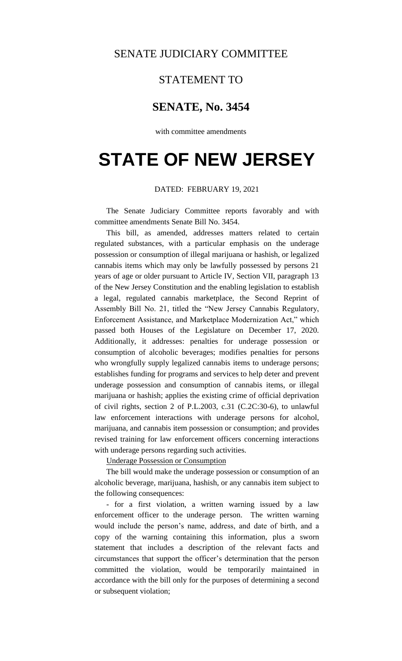## SENATE JUDICIARY COMMITTEE

## STATEMENT TO

# **SENATE, No. 3454**

with committee amendments

# **STATE OF NEW JERSEY**

## DATED: FEBRUARY 19, 2021

The Senate Judiciary Committee reports favorably and with committee amendments Senate Bill No. 3454.

This bill, as amended, addresses matters related to certain regulated substances, with a particular emphasis on the underage possession or consumption of illegal marijuana or hashish, or legalized cannabis items which may only be lawfully possessed by persons 21 years of age or older pursuant to Article IV, Section VII, paragraph 13 of the New Jersey Constitution and the enabling legislation to establish a legal, regulated cannabis marketplace, the Second Reprint of Assembly Bill No. 21, titled the "New Jersey Cannabis Regulatory, Enforcement Assistance, and Marketplace Modernization Act," which passed both Houses of the Legislature on December 17, 2020. Additionally, it addresses: penalties for underage possession or consumption of alcoholic beverages; modifies penalties for persons who wrongfully supply legalized cannabis items to underage persons; establishes funding for programs and services to help deter and prevent underage possession and consumption of cannabis items, or illegal marijuana or hashish; applies the existing crime of official deprivation of civil rights, section 2 of P.L.2003, c.31 (C.2C:30-6), to unlawful law enforcement interactions with underage persons for alcohol, marijuana, and cannabis item possession or consumption; and provides revised training for law enforcement officers concerning interactions with underage persons regarding such activities.

Underage Possession or Consumption

The bill would make the underage possession or consumption of an alcoholic beverage, marijuana, hashish, or any cannabis item subject to the following consequences:

- for a first violation, a written warning issued by a law enforcement officer to the underage person. The written warning would include the person's name, address, and date of birth, and a copy of the warning containing this information, plus a sworn statement that includes a description of the relevant facts and circumstances that support the officer's determination that the person committed the violation, would be temporarily maintained in accordance with the bill only for the purposes of determining a second or subsequent violation;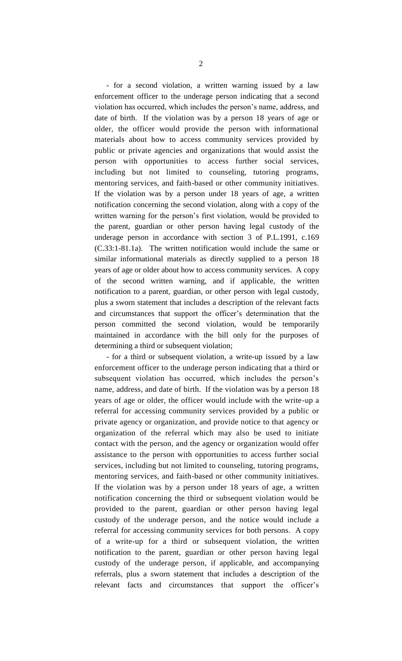- for a second violation, a written warning issued by a law enforcement officer to the underage person indicating that a second violation has occurred, which includes the person's name, address, and date of birth. If the violation was by a person 18 years of age or older, the officer would provide the person with informational materials about how to access community services provided by public or private agencies and organizations that would assist the person with opportunities to access further social services, including but not limited to counseling, tutoring programs, mentoring services, and faith-based or other community initiatives. If the violation was by a person under 18 years of age, a written notification concerning the second violation, along with a copy of the written warning for the person's first violation, would be provided to the parent, guardian or other person having legal custody of the underage person in accordance with section 3 of P.L.1991, c.169 (C.33:1-81.1a). The written notification would include the same or similar informational materials as directly supplied to a person 18 years of age or older about how to access community services. A copy of the second written warning, and if applicable, the written notification to a parent, guardian, or other person with legal custody, plus a sworn statement that includes a description of the relevant facts and circumstances that support the officer's determination that the person committed the second violation, would be temporarily maintained in accordance with the bill only for the purposes of determining a third or subsequent violation;

- for a third or subsequent violation, a write-up issued by a law enforcement officer to the underage person indicating that a third or subsequent violation has occurred, which includes the person's name, address, and date of birth. If the violation was by a person 18 years of age or older, the officer would include with the write-up a referral for accessing community services provided by a public or private agency or organization, and provide notice to that agency or organization of the referral which may also be used to initiate contact with the person, and the agency or organization would offer assistance to the person with opportunities to access further social services, including but not limited to counseling, tutoring programs, mentoring services, and faith-based or other community initiatives. If the violation was by a person under 18 years of age, a written notification concerning the third or subsequent violation would be provided to the parent, guardian or other person having legal custody of the underage person, and the notice would include a referral for accessing community services for both persons. A copy of a write-up for a third or subsequent violation, the written notification to the parent, guardian or other person having legal custody of the underage person, if applicable, and accompanying referrals, plus a sworn statement that includes a description of the relevant facts and circumstances that support the officer's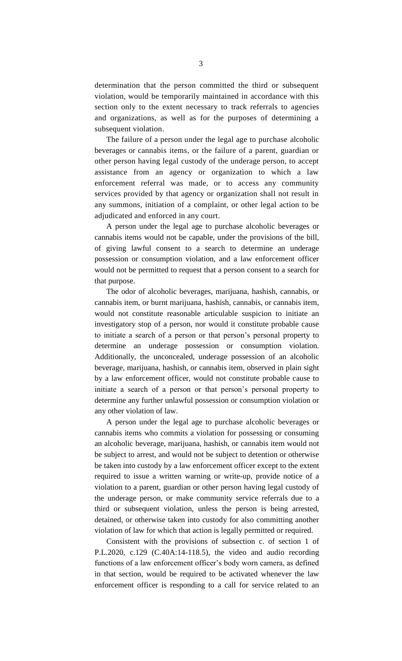determination that the person committed the third or subsequent violation, would be temporarily maintained in accordance with this section only to the extent necessary to track referrals to agencies and organizations, as well as for the purposes of determining a subsequent violation.

The failure of a person under the legal age to purchase alcoholic beverages or cannabis items, or the failure of a parent, guardian or other person having legal custody of the underage person, to accept assistance from an agency or organization to which a law enforcement referral was made, or to access any community services provided by that agency or organization shall not result in any summons, initiation of a complaint, or other legal action to be adjudicated and enforced in any court.

A person under the legal age to purchase alcoholic beverages or cannabis items would not be capable, under the provisions of the bill, of giving lawful consent to a search to determine an underage possession or consumption violation, and a law enforcement officer would not be permitted to request that a person consent to a search for that purpose.

The odor of alcoholic beverages, marijuana, hashish, cannabis, or cannabis item, or burnt marijuana, hashish, cannabis, or cannabis item, would not constitute reasonable articulable suspicion to initiate an investigatory stop of a person, nor would it constitute probable cause to initiate a search of a person or that person's personal property to determine an underage possession or consumption violation. Additionally, the unconcealed, underage possession of an alcoholic beverage, marijuana, hashish, or cannabis item, observed in plain sight by a law enforcement officer, would not constitute probable cause to initiate a search of a person or that person's personal property to determine any further unlawful possession or consumption violation or any other violation of law.

A person under the legal age to purchase alcoholic beverages or cannabis items who commits a violation for possessing or consuming an alcoholic beverage, marijuana, hashish, or cannabis item would not be subject to arrest, and would not be subject to detention or otherwise be taken into custody by a law enforcement officer except to the extent required to issue a written warning or write-up, provide notice of a violation to a parent, guardian or other person having legal custody of the underage person, or make community service referrals due to a third or subsequent violation, unless the person is being arrested, detained, or otherwise taken into custody for also committing another violation of law for which that action is legally permitted or required.

Consistent with the provisions of subsection c. of section 1 of P.L.2020, c.129 (C.40A:14-118.5), the video and audio recording functions of a law enforcement officer's body worn camera, as defined in that section, would be required to be activated whenever the law enforcement officer is responding to a call for service related to an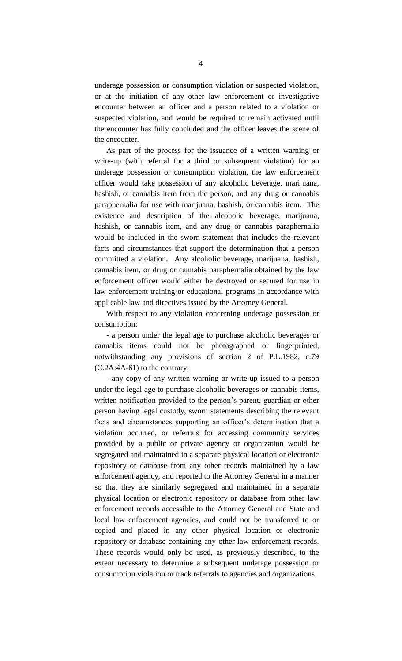underage possession or consumption violation or suspected violation, or at the initiation of any other law enforcement or investigative encounter between an officer and a person related to a violation or suspected violation, and would be required to remain activated until the encounter has fully concluded and the officer leaves the scene of the encounter.

As part of the process for the issuance of a written warning or write-up (with referral for a third or subsequent violation) for an underage possession or consumption violation, the law enforcement officer would take possession of any alcoholic beverage, marijuana, hashish, or cannabis item from the person, and any drug or cannabis paraphernalia for use with marijuana, hashish, or cannabis item. The existence and description of the alcoholic beverage, marijuana, hashish, or cannabis item, and any drug or cannabis paraphernalia would be included in the sworn statement that includes the relevant facts and circumstances that support the determination that a person committed a violation. Any alcoholic beverage, marijuana, hashish, cannabis item, or drug or cannabis paraphernalia obtained by the law enforcement officer would either be destroyed or secured for use in law enforcement training or educational programs in accordance with applicable law and directives issued by the Attorney General.

With respect to any violation concerning underage possession or consumption:

- a person under the legal age to purchase alcoholic beverages or cannabis items could not be photographed or fingerprinted, notwithstanding any provisions of section 2 of P.L.1982, c.79 (C.2A:4A-61) to the contrary;

- any copy of any written warning or write-up issued to a person under the legal age to purchase alcoholic beverages or cannabis items, written notification provided to the person's parent, guardian or other person having legal custody, sworn statements describing the relevant facts and circumstances supporting an officer's determination that a violation occurred, or referrals for accessing community services provided by a public or private agency or organization would be segregated and maintained in a separate physical location or electronic repository or database from any other records maintained by a law enforcement agency, and reported to the Attorney General in a manner so that they are similarly segregated and maintained in a separate physical location or electronic repository or database from other law enforcement records accessible to the Attorney General and State and local law enforcement agencies, and could not be transferred to or copied and placed in any other physical location or electronic repository or database containing any other law enforcement records. These records would only be used, as previously described, to the extent necessary to determine a subsequent underage possession or consumption violation or track referrals to agencies and organizations.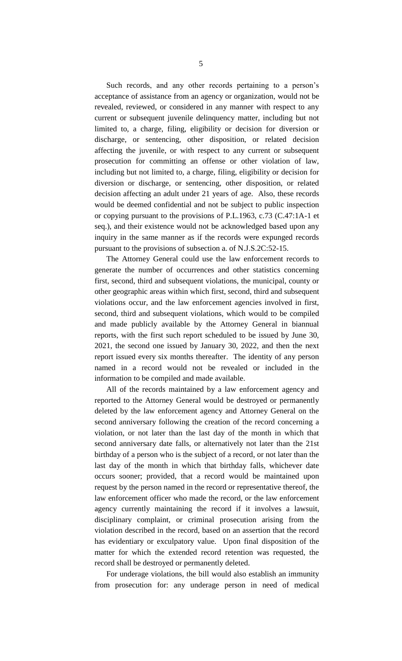Such records, and any other records pertaining to a person's acceptance of assistance from an agency or organization, would not be revealed, reviewed, or considered in any manner with respect to any current or subsequent juvenile delinquency matter, including but not limited to, a charge, filing, eligibility or decision for diversion or discharge, or sentencing, other disposition, or related decision affecting the juvenile, or with respect to any current or subsequent prosecution for committing an offense or other violation of law, including but not limited to, a charge, filing, eligibility or decision for diversion or discharge, or sentencing, other disposition, or related decision affecting an adult under 21 years of age. Also, these records would be deemed confidential and not be subject to public inspection or copying pursuant to the provisions of P.L.1963, c.73 (C.47:1A-1 et seq.), and their existence would not be acknowledged based upon any inquiry in the same manner as if the records were expunged records pursuant to the provisions of subsection a. of N.J.S.2C:52-15.

The Attorney General could use the law enforcement records to generate the number of occurrences and other statistics concerning first, second, third and subsequent violations, the municipal, county or other geographic areas within which first, second, third and subsequent violations occur, and the law enforcement agencies involved in first, second, third and subsequent violations, which would to be compiled and made publicly available by the Attorney General in biannual reports, with the first such report scheduled to be issued by June 30, 2021, the second one issued by January 30, 2022, and then the next report issued every six months thereafter. The identity of any person named in a record would not be revealed or included in the information to be compiled and made available.

All of the records maintained by a law enforcement agency and reported to the Attorney General would be destroyed or permanently deleted by the law enforcement agency and Attorney General on the second anniversary following the creation of the record concerning a violation, or not later than the last day of the month in which that second anniversary date falls, or alternatively not later than the 21st birthday of a person who is the subject of a record, or not later than the last day of the month in which that birthday falls, whichever date occurs sooner; provided, that a record would be maintained upon request by the person named in the record or representative thereof, the law enforcement officer who made the record, or the law enforcement agency currently maintaining the record if it involves a lawsuit, disciplinary complaint, or criminal prosecution arising from the violation described in the record, based on an assertion that the record has evidentiary or exculpatory value. Upon final disposition of the matter for which the extended record retention was requested, the record shall be destroyed or permanently deleted.

For underage violations, the bill would also establish an immunity from prosecution for: any underage person in need of medical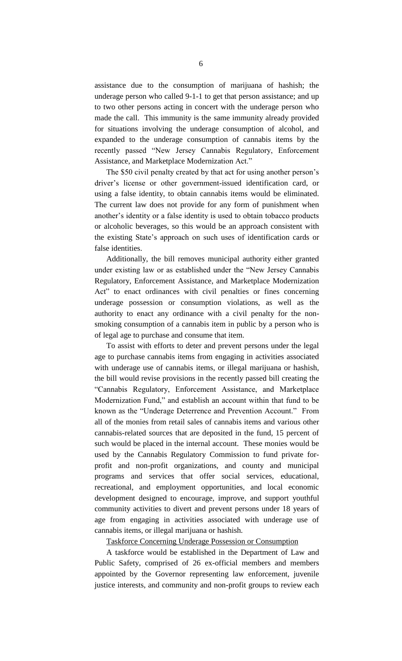assistance due to the consumption of marijuana of hashish; the underage person who called 9-1-1 to get that person assistance; and up to two other persons acting in concert with the underage person who made the call. This immunity is the same immunity already provided for situations involving the underage consumption of alcohol, and expanded to the underage consumption of cannabis items by the recently passed "New Jersey Cannabis Regulatory, Enforcement Assistance, and Marketplace Modernization Act."

The \$50 civil penalty created by that act for using another person's driver's license or other government-issued identification card, or using a false identity, to obtain cannabis items would be eliminated. The current law does not provide for any form of punishment when another's identity or a false identity is used to obtain tobacco products or alcoholic beverages, so this would be an approach consistent with the existing State's approach on such uses of identification cards or false identities.

Additionally, the bill removes municipal authority either granted under existing law or as established under the "New Jersey Cannabis Regulatory, Enforcement Assistance, and Marketplace Modernization Act" to enact ordinances with civil penalties or fines concerning underage possession or consumption violations, as well as the authority to enact any ordinance with a civil penalty for the nonsmoking consumption of a cannabis item in public by a person who is of legal age to purchase and consume that item.

To assist with efforts to deter and prevent persons under the legal age to purchase cannabis items from engaging in activities associated with underage use of cannabis items, or illegal marijuana or hashish, the bill would revise provisions in the recently passed bill creating the "Cannabis Regulatory, Enforcement Assistance, and Marketplace Modernization Fund," and establish an account within that fund to be known as the "Underage Deterrence and Prevention Account." From all of the monies from retail sales of cannabis items and various other cannabis-related sources that are deposited in the fund, 15 percent of such would be placed in the internal account. These monies would be used by the Cannabis Regulatory Commission to fund private forprofit and non-profit organizations, and county and municipal programs and services that offer social services, educational, recreational, and employment opportunities, and local economic development designed to encourage, improve, and support youthful community activities to divert and prevent persons under 18 years of age from engaging in activities associated with underage use of cannabis items, or illegal marijuana or hashish.

Taskforce Concerning Underage Possession or Consumption

A taskforce would be established in the Department of Law and Public Safety, comprised of 26 ex-official members and members appointed by the Governor representing law enforcement, juvenile justice interests, and community and non-profit groups to review each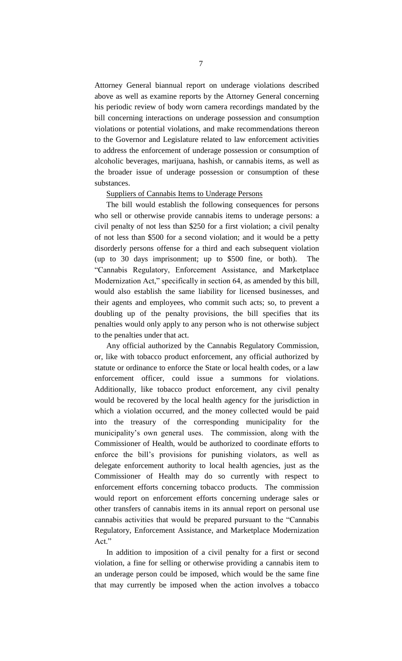Attorney General biannual report on underage violations described above as well as examine reports by the Attorney General concerning his periodic review of body worn camera recordings mandated by the bill concerning interactions on underage possession and consumption violations or potential violations, and make recommendations thereon to the Governor and Legislature related to law enforcement activities to address the enforcement of underage possession or consumption of alcoholic beverages, marijuana, hashish, or cannabis items, as well as the broader issue of underage possession or consumption of these substances.

#### Suppliers of Cannabis Items to Underage Persons

The bill would establish the following consequences for persons who sell or otherwise provide cannabis items to underage persons: a civil penalty of not less than \$250 for a first violation; a civil penalty of not less than \$500 for a second violation; and it would be a petty disorderly persons offense for a third and each subsequent violation (up to 30 days imprisonment; up to \$500 fine, or both). The "Cannabis Regulatory, Enforcement Assistance, and Marketplace Modernization Act," specifically in section 64, as amended by this bill, would also establish the same liability for licensed businesses, and their agents and employees, who commit such acts; so, to prevent a doubling up of the penalty provisions, the bill specifies that its penalties would only apply to any person who is not otherwise subject to the penalties under that act.

Any official authorized by the Cannabis Regulatory Commission, or, like with tobacco product enforcement, any official authorized by statute or ordinance to enforce the State or local health codes, or a law enforcement officer, could issue a summons for violations. Additionally, like tobacco product enforcement, any civil penalty would be recovered by the local health agency for the jurisdiction in which a violation occurred, and the money collected would be paid into the treasury of the corresponding municipality for the municipality's own general uses. The commission, along with the Commissioner of Health, would be authorized to coordinate efforts to enforce the bill's provisions for punishing violators, as well as delegate enforcement authority to local health agencies, just as the Commissioner of Health may do so currently with respect to enforcement efforts concerning tobacco products. The commission would report on enforcement efforts concerning underage sales or other transfers of cannabis items in its annual report on personal use cannabis activities that would be prepared pursuant to the "Cannabis Regulatory, Enforcement Assistance, and Marketplace Modernization Act."

In addition to imposition of a civil penalty for a first or second violation, a fine for selling or otherwise providing a cannabis item to an underage person could be imposed, which would be the same fine that may currently be imposed when the action involves a tobacco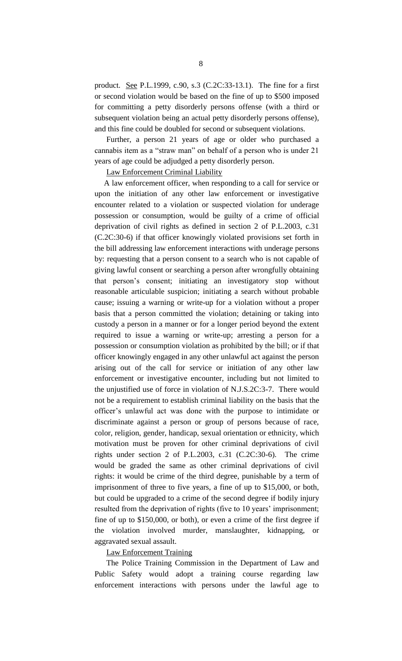product. See P.L.1999, c.90, s.3 (C.2C:33-13.1). The fine for a first or second violation would be based on the fine of up to \$500 imposed for committing a petty disorderly persons offense (with a third or subsequent violation being an actual petty disorderly persons offense), and this fine could be doubled for second or subsequent violations.

Further, a person 21 years of age or older who purchased a cannabis item as a "straw man" on behalf of a person who is under 21 years of age could be adjudged a petty disorderly person.

Law Enforcement Criminal Liability

A law enforcement officer, when responding to a call for service or upon the initiation of any other law enforcement or investigative encounter related to a violation or suspected violation for underage possession or consumption, would be guilty of a crime of official deprivation of civil rights as defined in section 2 of P.L.2003, c.31 (C.2C:30-6) if that officer knowingly violated provisions set forth in the bill addressing law enforcement interactions with underage persons by: requesting that a person consent to a search who is not capable of giving lawful consent or searching a person after wrongfully obtaining that person's consent; initiating an investigatory stop without reasonable articulable suspicion; initiating a search without probable cause; issuing a warning or write-up for a violation without a proper basis that a person committed the violation; detaining or taking into custody a person in a manner or for a longer period beyond the extent required to issue a warning or write-up; arresting a person for a possession or consumption violation as prohibited by the bill; or if that officer knowingly engaged in any other unlawful act against the person arising out of the call for service or initiation of any other law enforcement or investigative encounter, including but not limited to the unjustified use of force in violation of N.J.S.2C:3-7. There would not be a requirement to establish criminal liability on the basis that the officer's unlawful act was done with the purpose to intimidate or discriminate against a person or group of persons because of race, color, religion, gender, handicap, sexual orientation or ethnicity, which motivation must be proven for other criminal deprivations of civil rights under section 2 of P.L.2003, c.31 (C.2C:30-6). The crime would be graded the same as other criminal deprivations of civil rights: it would be crime of the third degree, punishable by a term of imprisonment of three to five years, a fine of up to \$15,000, or both, but could be upgraded to a crime of the second degree if bodily injury resulted from the deprivation of rights (five to 10 years' imprisonment; fine of up to \$150,000, or both), or even a crime of the first degree if the violation involved murder, manslaughter, kidnapping, or aggravated sexual assault.

## Law Enforcement Training

The Police Training Commission in the Department of Law and Public Safety would adopt a training course regarding law enforcement interactions with persons under the lawful age to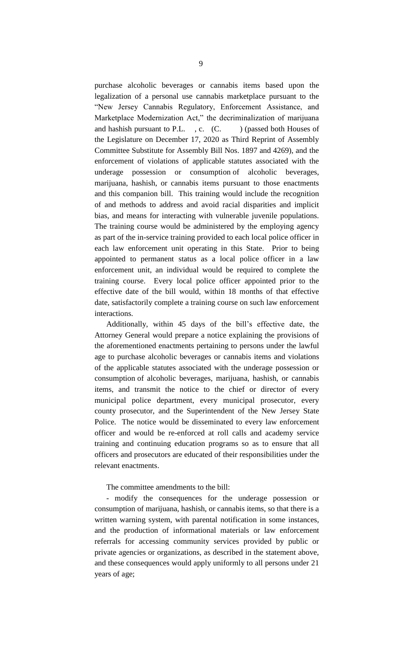purchase alcoholic beverages or cannabis items based upon the legalization of a personal use cannabis marketplace pursuant to the "New Jersey Cannabis Regulatory, Enforcement Assistance, and Marketplace Modernization Act," the decriminalization of marijuana and hashish pursuant to P.L.  $\cdot$ , c.  $(C.$  ) (passed both Houses of the Legislature on December 17, 2020 as Third Reprint of Assembly Committee Substitute for Assembly Bill Nos. 1897 and 4269), and the enforcement of violations of applicable statutes associated with the underage possession or consumption of alcoholic beverages, marijuana, hashish, or cannabis items pursuant to those enactments and this companion bill. This training would include the recognition of and methods to address and avoid racial disparities and implicit bias, and means for interacting with vulnerable juvenile populations. The training course would be administered by the employing agency as part of the in-service training provided to each local police officer in each law enforcement unit operating in this State. Prior to being appointed to permanent status as a local police officer in a law enforcement unit, an individual would be required to complete the training course. Every local police officer appointed prior to the effective date of the bill would, within 18 months of that effective date, satisfactorily complete a training course on such law enforcement interactions.

Additionally, within 45 days of the bill's effective date, the Attorney General would prepare a notice explaining the provisions of the aforementioned enactments pertaining to persons under the lawful age to purchase alcoholic beverages or cannabis items and violations of the applicable statutes associated with the underage possession or consumption of alcoholic beverages, marijuana, hashish, or cannabis items, and transmit the notice to the chief or director of every municipal police department, every municipal prosecutor, every county prosecutor, and the Superintendent of the New Jersey State Police. The notice would be disseminated to every law enforcement officer and would be re-enforced at roll calls and academy service training and continuing education programs so as to ensure that all officers and prosecutors are educated of their responsibilities under the relevant enactments.

#### The committee amendments to the bill:

- modify the consequences for the underage possession or consumption of marijuana, hashish, or cannabis items, so that there is a written warning system, with parental notification in some instances, and the production of informational materials or law enforcement referrals for accessing community services provided by public or private agencies or organizations, as described in the statement above, and these consequences would apply uniformly to all persons under 21 years of age;